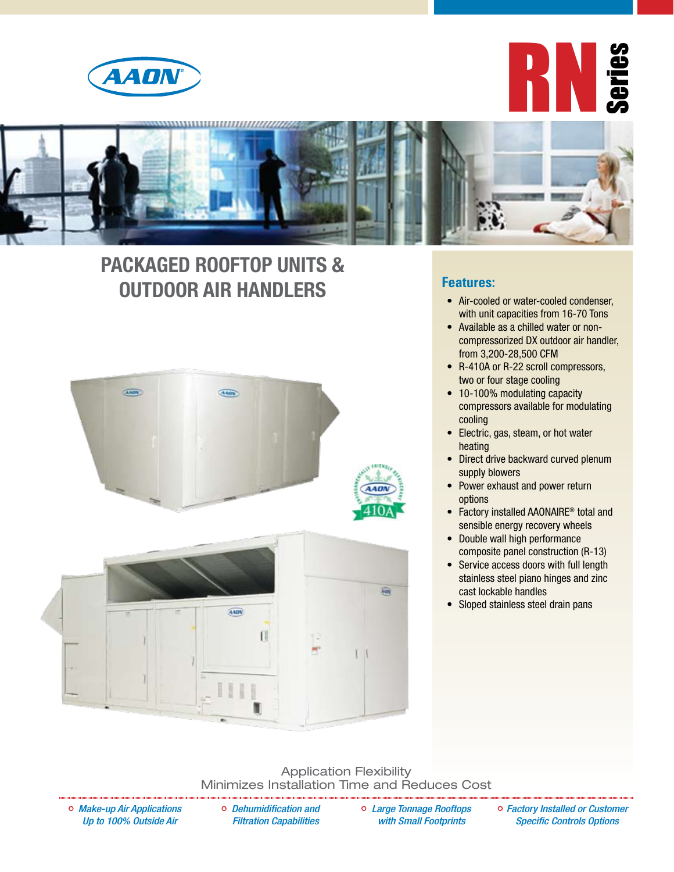





## **PACKAGED ROOFTOP UNITS & OUTDOOR AIR HANDLERS Exatures: heatures: air-cooled or water-cooled condenser,**





### **Features:**

- with unit capacities from 16-70 Tons
- • Available as a chilled water or noncompressorized DX outdoor air handler, from 3,200-28,500 CFM
- R-410A or R-22 scroll compressors, two or four stage cooling
- 10-100% modulating capacity compressors available for modulating cooling
- Electric, gas, steam, or hot water heating
- Direct drive backward curved plenum supply blowers
- Power exhaust and power return options
- Factory installed AAONAIRE<sup>®</sup> total and sensible energy recovery wheels
- Double wall high performance composite panel construction (R-13)
- Service access doors with full length stainless steel piano hinges and zinc cast lockable handles
- Sloped stainless steel drain pans

#### Application Flexibility Minimizes Installation Time and Reduces Cost

*Make-up Air Applications Up to 100% Outside Air*

*Dehumidification and Filtration Capabilities* 

*Large Tonnage Rooftops with Small Footprints* 

*Factory Installed or Customer Specific Controls Options*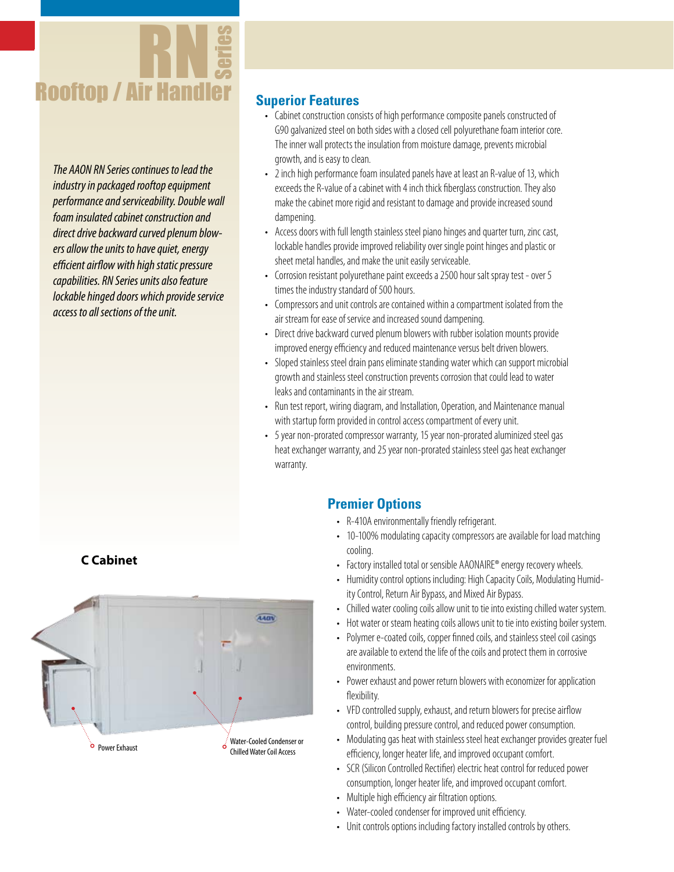

*The AAON RN Series continues to lead the industry in packaged rooftop equipment performance and serviceability. Double wall foam insulated cabinet construction and direct drive backward curved plenum blowers allow the units to have quiet, energy efficient airflow with high static pressure capabilities. RN Series units also feature lockable hinged doors which provide service access to all sections of the unit.* 

### **Superior Features**

- Cabinet construction consists of high performance composite panels constructed of G90 galvanized steel on both sides with a closed cell polyurethane foam interior core. The inner wall protects the insulation from moisture damage, prevents microbial growth, and is easy to clean.
- 2 inch high performance foam insulated panels have at least an R-value of 13, which exceeds the R-value of a cabinet with 4 inch thick fiberglass construction. They also make the cabinet more rigid and resistant to damage and provide increased sound dampening.
- Access doors with full length stainless steel piano hinges and quarter turn, zinc cast, lockable handles provide improved reliability over single point hinges and plastic or sheet metal handles, and make the unit easily serviceable.
- Corrosion resistant polyurethane paint exceeds a 2500 hour salt spray test over 5 times the industry standard of 500 hours.
- Compressors and unit controls are contained within a compartment isolated from the air stream for ease of service and increased sound dampening.
- Direct drive backward curved plenum blowers with rubber isolation mounts provide improved energy efficiency and reduced maintenance versus belt driven blowers.
- Sloped stainless steel drain pans eliminate standing water which can support microbial growth and stainless steel construction prevents corrosion that could lead to water leaks and contaminants in the air stream.
- Run test report, wiring diagram, and Installation, Operation, and Maintenance manual with startup form provided in control access compartment of every unit.
- 5 year non-prorated compressor warranty, 15 year non-prorated aluminized steel gas heat exchanger warranty, and 25 year non-prorated stainless steel gas heat exchanger warranty.

## **Premier Options**

- R-410A environmentally friendly refrigerant.
- 10-100% modulating capacity compressors are available for load matching cooling.
- Factory installed total or sensible AAONAIRE® energy recovery wheels.
- Humidity control options including: High Capacity Coils, Modulating Humidity Control, Return Air Bypass, and Mixed Air Bypass.
- Chilled water cooling coils allow unit to tie into existing chilled water system.
- Hot water or steam heating coils allows unit to tie into existing boiler system.
- Polymer e-coated coils, copper finned coils, and stainless steel coil casings are available to extend the life of the coils and protect them in corrosive environments.
- Power exhaust and power return blowers with economizer for application flexibility.
- VFD controlled supply, exhaust, and return blowers for precise airflow control, building pressure control, and reduced power consumption.
- Modulating gas heat with stainless steel heat exchanger provides greater fuel efficiency, longer heater life, and improved occupant comfort.
- SCR (Silicon Controlled Rectifier) electric heat control for reduced power consumption, longer heater life, and improved occupant comfort.
- Multiple high efficiency air filtration options.
- Water-cooled condenser for improved unit efficiency.
- Unit controls options including factory installed controls by others.

### **C Cabinet**

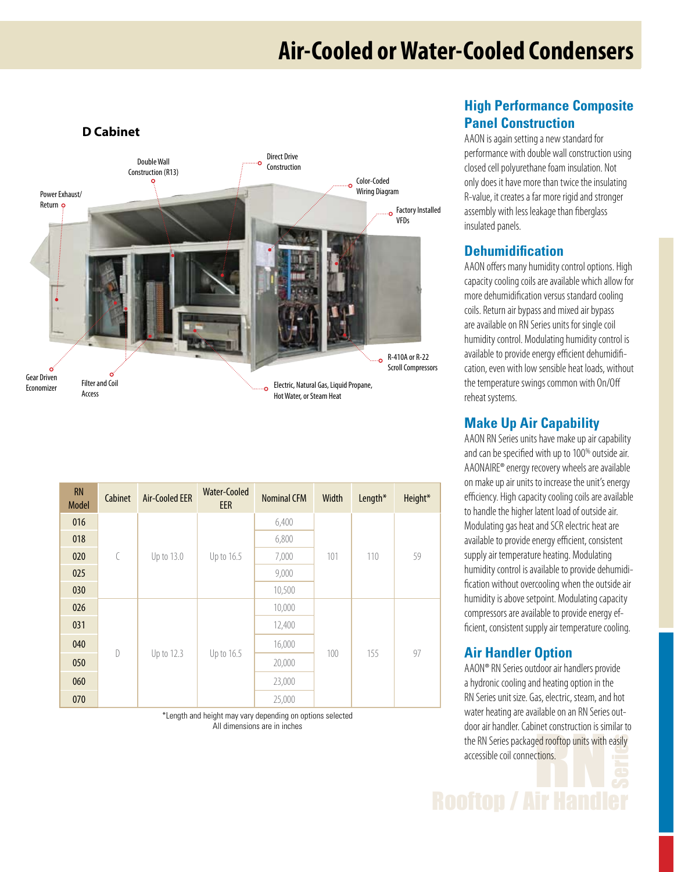## **Air-Cooled or Water-Cooled Condensers**



| <b>RN</b><br><b>Model</b> | Cabinet      | <b>Air-Cooled EER</b> | <b>Water-Cooled</b><br><b>EER</b> | <b>Nominal CFM</b> | Width | Length* | Height* |
|---------------------------|--------------|-----------------------|-----------------------------------|--------------------|-------|---------|---------|
| 016                       | $\bigl($     | Up to 13.0            | Up to 16.5                        | 6,400              | 101   | 110     | 59      |
| 018                       |              |                       |                                   | 6,800              |       |         |         |
| 020                       |              |                       |                                   | 7,000              |       |         |         |
| 025                       |              |                       |                                   | 9,000              |       |         |         |
| 030                       |              |                       |                                   | 10,500             |       |         |         |
| 026                       | $\mathsf{D}$ | Up to 12.3            | Up to 16.5                        | 10,000             | 100   | 155     | 97      |
| 031                       |              |                       |                                   | 12,400             |       |         |         |
| 040                       |              |                       |                                   | 16,000             |       |         |         |
| 050                       |              |                       |                                   | 20,000             |       |         |         |
| 060                       |              |                       |                                   | 23,000             |       |         |         |
| 070                       |              |                       |                                   | 25,000             |       |         |         |

\*Length and height may vary depending on options selected All dimensions are in inches

## **High Performance Composite Panel Construction**

AAON is again setting a new standard for performance with double wall construction using closed cell polyurethane foam insulation. Not only does it have more than twice the insulating R-value, it creates a far more rigid and stronger assembly with less leakage than fiberglass insulated panels.

### **Dehumidification**

AAON offers many humidity control options. High capacity cooling coils are available which allow for more dehumidification versus standard cooling coils. Return air bypass and mixed air bypass are available on RN Series units for single coil humidity control. Modulating humidity control is available to provide energy efficient dehumidification, even with low sensible heat loads, without the temperature swings common with On/Off reheat systems.

## **Make Up Air Capability**

AAON RN Series units have make up air capability and can be specified with up to 100% outside air. AAONAIRE® energy recovery wheels are available on make up air units to increase the unit's energy efficiency. High capacity cooling coils are available to handle the higher latent load of outside air. Modulating gas heat and SCR electric heat are available to provide energy efficient, consistent supply air temperature heating. Modulating humidity control is available to provide dehumidification without overcooling when the outside air humidity is above setpoint. Modulating capacity compressors are available to provide energy efficient, consistent supply air temperature cooling.

## **Air Handler Option**

the RN Series packaged rooftop units with easily<br>accessible coil connections. AAON® RN Series outdoor air handlers provide a hydronic cooling and heating option in the RN Series unit size. Gas, electric, steam, and hot water heating are available on an RN Series outdoor air handler. Cabinet construction is similar to accessible coil connections.

**Rooftop / Air Han**